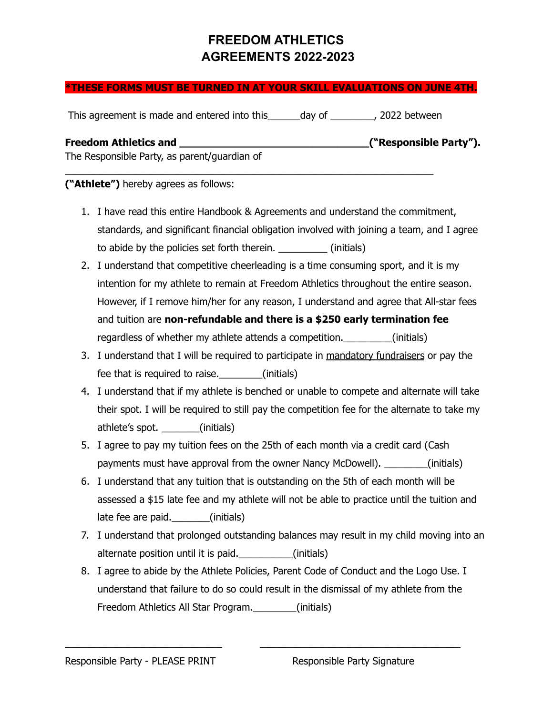#### **\*THESE FORMS MUST BE TURNED IN AT YOUR SKILL EVALUATIONS ON JUNE 4TH.**

This agreement is made and entered into this day of the metal of the pay of the same of the same of the same of the same of the same of the same of the same of the same of the same of the same of the same of the same of th

 $\_$  , and the set of the set of the set of the set of the set of the set of the set of the set of the set of the set of the set of the set of the set of the set of the set of the set of the set of the set of the set of th

| <b>Freedom Athletics and</b>                 | ("Responsible Party"). |
|----------------------------------------------|------------------------|
| The Responsible Party, as parent/guardian of |                        |

#### **("Athlete")** hereby agrees as follows:

- 1. I have read this entire Handbook & Agreements and understand the commitment, standards, and significant financial obligation involved with joining a team, and I agree to abide by the policies set forth therein. \_\_\_\_\_\_\_\_\_ (initials)
- 2. I understand that competitive cheerleading is a time consuming sport, and it is my intention for my athlete to remain at Freedom Athletics throughout the entire season. However, if I remove him/her for any reason, I understand and agree that All-star fees and tuition are **non-refundable and there is a \$250 early termination fee** regardless of whether my athlete attends a competition. (initials)
- 3. I understand that I will be required to participate in mandatory fundraisers or pay the fee that is required to raise.\_\_\_\_\_\_\_\_(initials)
- 4. I understand that if my athlete is benched or unable to compete and alternate will take their spot. I will be required to still pay the competition fee for the alternate to take my athlete's spot. \_\_\_\_\_\_\_(initials)
- 5. I agree to pay my tuition fees on the 25th of each month via a credit card (Cash payments must have approval from the owner Nancy McDowell). \_\_\_\_\_\_\_\_(initials)
- 6. I understand that any tuition that is outstanding on the 5th of each month will be assessed a \$15 late fee and my athlete will not be able to practice until the tuition and late fee are paid. (initials)
- 7. I understand that prolonged outstanding balances may result in my child moving into an alternate position until it is paid.\_\_\_\_\_\_\_\_\_\_(initials)
- 8. I agree to abide by the Athlete Policies, Parent Code of Conduct and the Logo Use. I understand that failure to do so could result in the dismissal of my athlete from the Freedom Athletics All Star Program.\_\_\_\_\_\_\_\_(initials)

\_\_\_\_\_\_\_\_\_\_\_\_\_\_\_\_\_\_\_\_\_\_\_\_\_\_\_\_\_ \_\_\_\_\_\_\_\_\_\_\_\_\_\_\_\_\_\_\_\_\_\_\_\_\_\_\_\_\_\_\_\_\_\_\_\_\_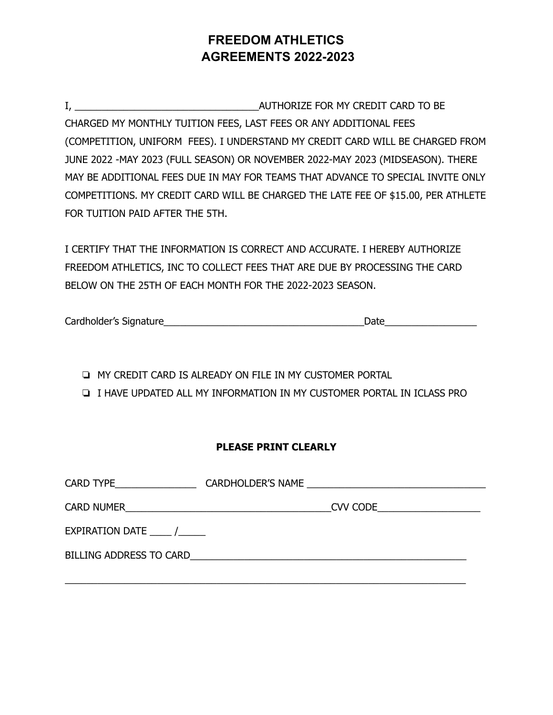I, ZEPTER STRING AUTHORIZE FOR MY CREDIT CARD TO BE CHARGED MY MONTHLY TUITION FEES, LAST FEES OR ANY ADDITIONAL FEES (COMPETITION, UNIFORM FEES). I UNDERSTAND MY CREDIT CARD WILL BE CHARGED FROM JUNE 2022 -MAY 2023 (FULL SEASON) OR NOVEMBER 2022-MAY 2023 (MIDSEASON). THERE MAY BE ADDITIONAL FEES DUE IN MAY FOR TEAMS THAT ADVANCE TO SPECIAL INVITE ONLY COMPETITIONS. MY CREDIT CARD WILL BE CHARGED THE LATE FEE OF \$15.00, PER ATHLETE FOR TUITION PAID AFTER THE 5TH.

I CERTIFY THAT THE INFORMATION IS CORRECT AND ACCURATE. I HEREBY AUTHORIZE FREEDOM ATHLETICS, INC TO COLLECT FEES THAT ARE DUE BY PROCESSING THE CARD BELOW ON THE 25TH OF EACH MONTH FOR THE 2022-2023 SEASON.

Cardholder's Signature

❏ MY CREDIT CARD IS ALREADY ON FILE IN MY CUSTOMER PORTAL

❏ I HAVE UPDATED ALL MY INFORMATION IN MY CUSTOMER PORTAL IN ICLASS PRO

#### **PLEASE PRINT CLEARLY**

| CARD TYPE <b>CARD</b> |                                      |  |  |  |  |
|-----------------------|--------------------------------------|--|--|--|--|
|                       | CVV CODE <u>____________________</u> |  |  |  |  |
| EXPIRATION DATE /     |                                      |  |  |  |  |
|                       |                                      |  |  |  |  |
|                       |                                      |  |  |  |  |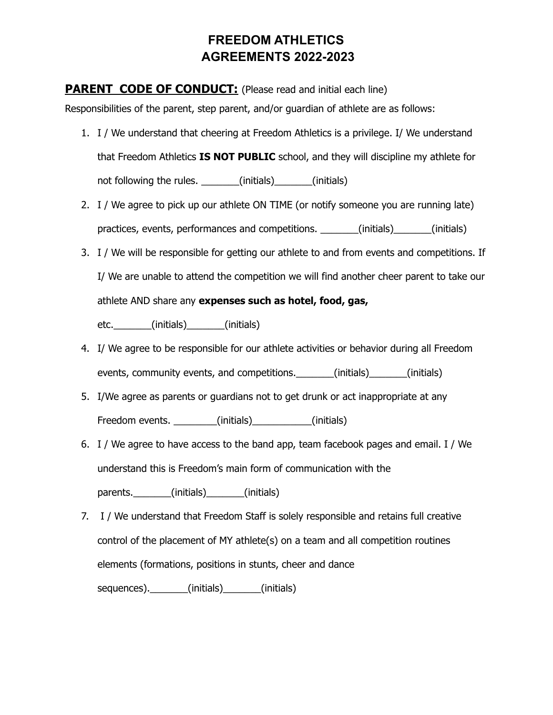#### **PARENT CODE OF CONDUCT:** (Please read and initial each line)

Responsibilities of the parent, step parent, and/or guardian of athlete are as follows:

- 1. I / We understand that cheering at Freedom Athletics is a privilege. I/ We understand that Freedom Athletics **IS NOT PUBLIC** school, and they will discipline my athlete for not following the rules. \_\_\_\_\_\_\_(initials) \_\_\_\_\_\_(initials)
- 2. I / We agree to pick up our athlete ON TIME (or notify someone you are running late) practices, events, performances and competitions. \_\_\_\_\_\_\_(initials) \_\_\_\_\_\_(initials)
- 3. I / We will be responsible for getting our athlete to and from events and competitions. If I/ We are unable to attend the competition we will find another cheer parent to take our athlete AND share any **expenses such as hotel, food, gas,**

etc.\_\_\_\_\_\_\_(initials)\_\_\_\_\_\_\_(initials)

- 4. I/ We agree to be responsible for our athlete activities or behavior during all Freedom events, community events, and competitions. \_\_\_\_\_\_\_(initials) \_\_\_\_\_\_(initials)
- 5. I/We agree as parents or guardians not to get drunk or act inappropriate at any Freedom events. \_\_\_\_\_\_\_\_\_(initials) \_\_\_\_\_\_\_\_\_\_(initials)
- 6. I / We agree to have access to the band app, team facebook pages and email. I / We understand this is Freedom's main form of communication with the

parents. (initials) (initials)

7. I / We understand that Freedom Staff is solely responsible and retains full creative control of the placement of MY athlete(s) on a team and all competition routines elements (formations, positions in stunts, cheer and dance sequences).\_\_\_\_\_\_\_\_(initials)\_\_\_\_\_\_\_(initials)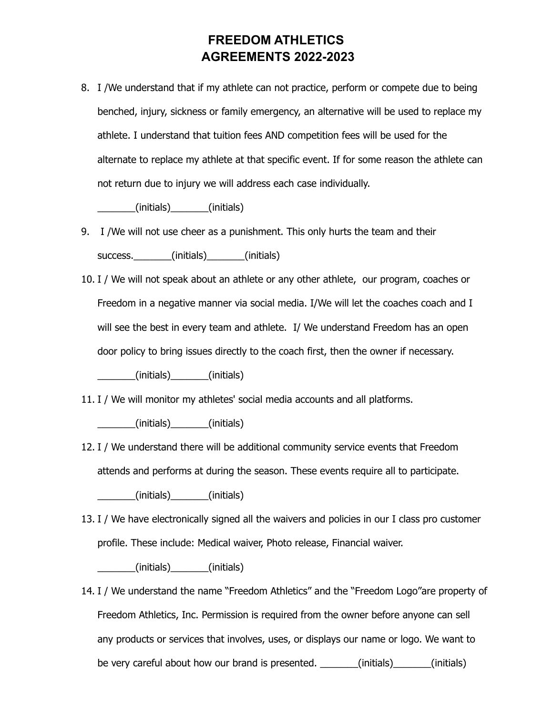8. I /We understand that if my athlete can not practice, perform or compete due to being benched, injury, sickness or family emergency, an alternative will be used to replace my athlete. I understand that tuition fees AND competition fees will be used for the alternate to replace my athlete at that specific event. If for some reason the athlete can not return due to injury we will address each case individually.

\_\_\_\_\_\_\_(initials)\_\_\_\_\_\_\_(initials)

- 9. I /We will not use cheer as a punishment. This only hurts the team and their success. \_\_\_\_\_\_\_(initials) \_\_\_\_\_\_(initials)
- 10. I / We will not speak about an athlete or any other athlete, our program, coaches or Freedom in a negative manner via social media. I/We will let the coaches coach and I will see the best in every team and athlete. I/ We understand Freedom has an open door policy to bring issues directly to the coach first, then the owner if necessary.

\_\_\_\_\_\_\_(initials)\_\_\_\_\_\_\_(initials)

11. I / We will monitor my athletes' social media accounts and all platforms.

\_\_\_\_\_\_\_(initials)\_\_\_\_\_\_\_(initials)

12. I / We understand there will be additional community service events that Freedom attends and performs at during the season. These events require all to participate.

\_\_\_\_\_\_\_(initials)\_\_\_\_\_\_\_(initials)

13. I / We have electronically signed all the waivers and policies in our I class pro customer profile. These include: Medical waiver, Photo release, Financial waiver.

\_\_\_\_\_\_\_(initials)\_\_\_\_\_\_\_(initials)

14. I / We understand the name "Freedom Athletics" and the "Freedom Logo"are property of Freedom Athletics, Inc. Permission is required from the owner before anyone can sell any products or services that involves, uses, or displays our name or logo. We want to be very careful about how our brand is presented. \_\_\_\_\_\_\_\_(initials) \_\_\_\_\_\_(initials)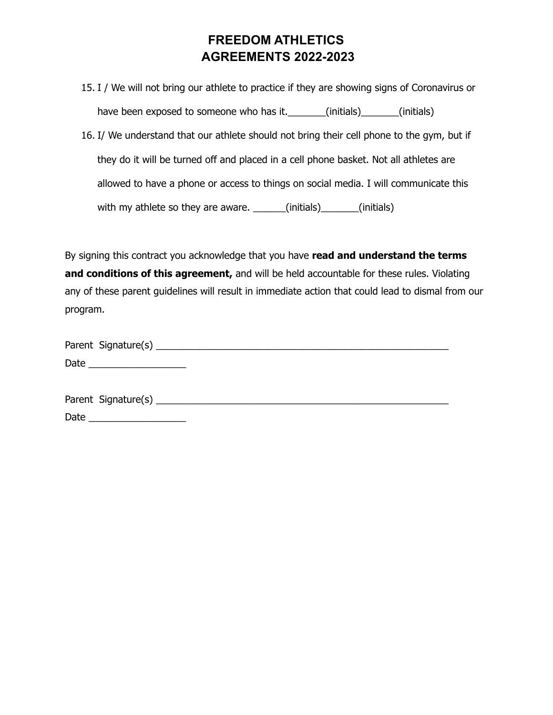15. I / We will not bring our athlete to practice if they are showing signs of Coronavirus or have been exposed to someone who has it. \_\_\_\_\_\_\_(initials) \_\_\_\_\_\_(initials)

16. I/ We understand that our athlete should not bring their cell phone to the gym, but if they do it will be turned off and placed in a cell phone basket. Not all athletes are allowed to have a phone or access to things on social media. I will communicate this with my athlete so they are aware. \_\_\_\_\_\_(initials) \_\_\_\_\_\_(initials)

By signing this contract you acknowledge that you have **read and understand the terms and conditions of this agreement,** and will be held accountable for these rules. Violating any of these parent guidelines will result in immediate action that could lead to dismal from our program.

| Parent Signature(s) _____ |  |  |
|---------------------------|--|--|
| Date                      |  |  |

| Parent Signature(s) |  |
|---------------------|--|
| Date                |  |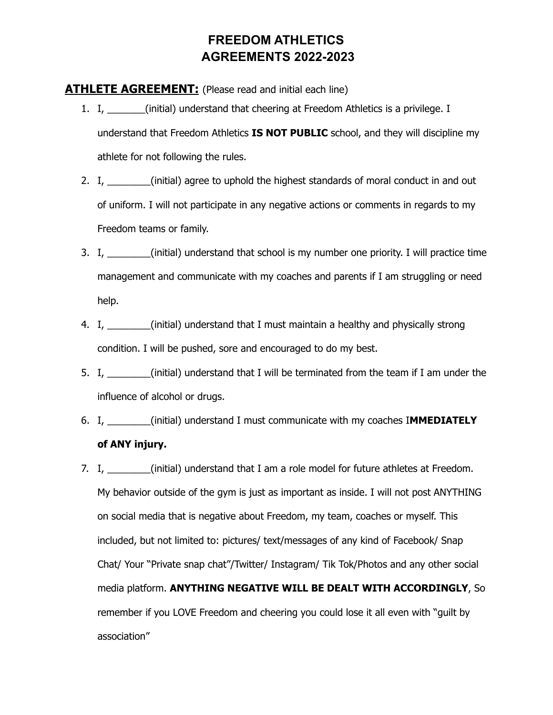#### **ATHLETE AGREEMENT:** (Please read and initial each line)

- 1. I, \_\_\_\_\_\_\_(initial) understand that cheering at Freedom Athletics is a privilege. I understand that Freedom Athletics **IS NOT PUBLIC** school, and they will discipline my athlete for not following the rules.
- 2. I, \_\_\_\_\_\_\_(initial) agree to uphold the highest standards of moral conduct in and out of uniform. I will not participate in any negative actions or comments in regards to my Freedom teams or family.
- 3. I, \_\_\_\_\_\_\_\_(initial) understand that school is my number one priority. I will practice time management and communicate with my coaches and parents if I am struggling or need help.
- 4. I, \_\_\_\_\_\_\_\_(initial) understand that I must maintain a healthy and physically strong condition. I will be pushed, sore and encouraged to do my best.
- 5. I, \_\_\_\_\_\_\_(initial) understand that I will be terminated from the team if I am under the influence of alcohol or drugs.
- 6. I, \_\_\_\_\_\_\_\_(initial) understand I must communicate with my coaches I**MMEDIATELY of ANY injury.**
- 7. I, \_\_\_\_\_\_\_(initial) understand that I am a role model for future athletes at Freedom. My behavior outside of the gym is just as important as inside. I will not post ANYTHING on social media that is negative about Freedom, my team, coaches or myself. This included, but not limited to: pictures/ text/messages of any kind of Facebook/ Snap Chat/ Your "Private snap chat"/Twitter/ Instagram/ Tik Tok/Photos and any other social media platform. **ANYTHING NEGATIVE WILL BE DEALT WITH ACCORDINGLY**, So remember if you LOVE Freedom and cheering you could lose it all even with "guilt by association"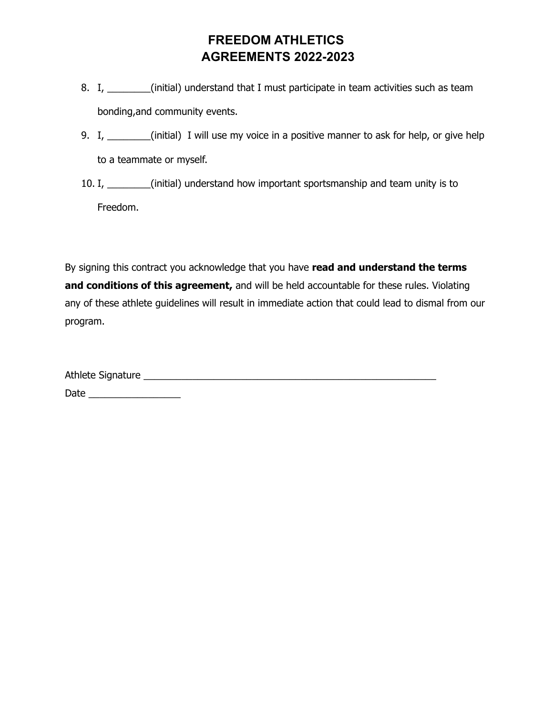- 8. I, \_\_\_\_\_\_\_(initial) understand that I must participate in team activities such as team bonding,and community events.
- 9. I, \_\_\_\_\_\_\_\_(initial) I will use my voice in a positive manner to ask for help, or give help to a teammate or myself.
- 10. I, \_\_\_\_\_\_\_\_(initial) understand how important sportsmanship and team unity is to Freedom.

By signing this contract you acknowledge that you have **read and understand the terms and conditions of this agreement,** and will be held accountable for these rules. Violating any of these athlete guidelines will result in immediate action that could lead to dismal from our program.

| Athlete Signature |  |  |
|-------------------|--|--|
| Date              |  |  |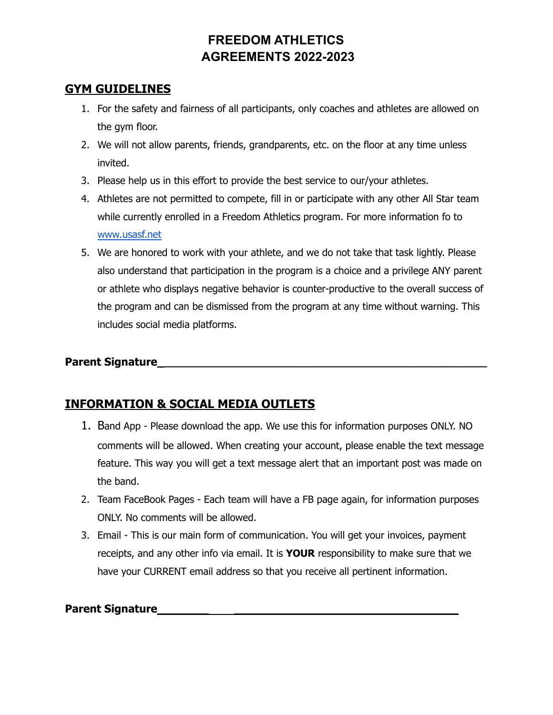#### **GYM GUIDELINES**

- 1. For the safety and fairness of all participants, only coaches and athletes are allowed on the gym floor.
- 2. We will not allow parents, friends, grandparents, etc. on the floor at any time unless invited.
- 3. Please help us in this effort to provide the best service to our/your athletes.
- 4. Athletes are not permitted to compete, fill in or participate with any other All Star team while currently enrolled in a Freedom Athletics program. For more information fo to [www.usasf.net](http://www.usasf.net)
- 5. We are honored to work with your athlete, and we do not take that task lightly. Please also understand that participation in the program is a choice and a privilege ANY parent or athlete who displays negative behavior is counter-productive to the overall success of the program and can be dismissed from the program at any time without warning. This includes social media platforms.

#### **Parent Signature\_\_\_\_\_\_\_\_\_\_\_\_\_\_\_\_\_\_\_\_\_\_\_\_\_\_\_\_\_\_\_\_\_\_\_\_\_\_\_\_\_\_\_\_\_\_\_\_\_\_\_\_**

### **INFORMATION & SOCIAL MEDIA OUTLETS**

- 1. Band App Please download the app. We use this for information purposes ONLY. NO comments will be allowed. When creating your account, please enable the text message feature. This way you will get a text message alert that an important post was made on the band.
- 2. Team FaceBook Pages Each team will have a FB page again, for information purposes ONLY. No comments will be allowed.
- 3. Email This is our main form of communication. You will get your invoices, payment receipts, and any other info via email. It is **YOUR** responsibility to make sure that we have your CURRENT email address so that you receive all pertinent information.

#### **Parent Signature**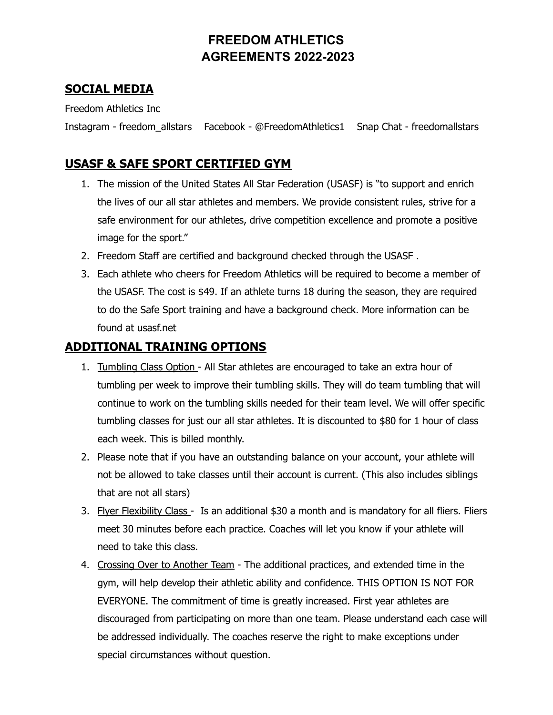#### **SOCIAL MEDIA**

Freedom Athletics Inc

Instagram - freedom\_allstars Facebook - @FreedomAthletics1 Snap Chat - freedomallstars

#### **USASF & SAFE SPORT CERTIFIED GYM**

- 1. The mission of the United States All Star Federation (USASF) is "to support and enrich the lives of our all star athletes and members. We provide consistent rules, strive for a safe environment for our athletes, drive competition excellence and promote a positive image for the sport."
- 2. Freedom Staff are certified and background checked through the USASF .
- 3. Each athlete who cheers for Freedom Athletics will be required to become a member of the USASF. The cost is \$49. If an athlete turns 18 during the season, they are required to do the Safe Sport training and have a background check. More information can be found at usasf.net

#### **ADDITIONAL TRAINING OPTIONS**

- 1. Tumbling Class Option All Star athletes are encouraged to take an extra hour of tumbling per week to improve their tumbling skills. They will do team tumbling that will continue to work on the tumbling skills needed for their team level. We will offer specific tumbling classes for just our all star athletes. It is discounted to \$80 for 1 hour of class each week. This is billed monthly.
- 2. Please note that if you have an outstanding balance on your account, your athlete will not be allowed to take classes until their account is current. (This also includes siblings that are not all stars)
- 3. Flyer Flexibility Class Is an additional \$30 a month and is mandatory for all fliers. Fliers meet 30 minutes before each practice. Coaches will let you know if your athlete will need to take this class.
- 4. Crossing Over to Another Team The additional practices, and extended time in the gym, will help develop their athletic ability and confidence. THIS OPTION IS NOT FOR EVERYONE. The commitment of time is greatly increased. First year athletes are discouraged from participating on more than one team. Please understand each case will be addressed individually. The coaches reserve the right to make exceptions under special circumstances without question.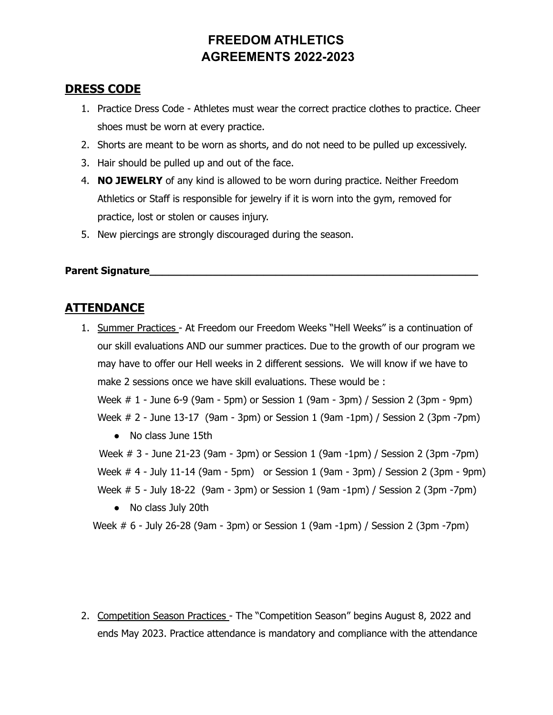#### **DRESS CODE**

- 1. Practice Dress Code Athletes must wear the correct practice clothes to practice. Cheer shoes must be worn at every practice.
- 2. Shorts are meant to be worn as shorts, and do not need to be pulled up excessively.
- 3. Hair should be pulled up and out of the face.
- 4. **NO JEWELRY** of any kind is allowed to be worn during practice. Neither Freedom Athletics or Staff is responsible for jewelry if it is worn into the gym, removed for practice, lost or stolen or causes injury.
- 5. New piercings are strongly discouraged during the season.

#### **Parent Signature**

#### **ATTENDANCE**

1. Summer Practices - At Freedom our Freedom Weeks "Hell Weeks" is a continuation of our skill evaluations AND our summer practices. Due to the growth of our program we may have to offer our Hell weeks in 2 different sessions. We will know if we have to make 2 sessions once we have skill evaluations. These would be :

Week # 1 - June 6-9 (9am - 5pm) or Session 1 (9am - 3pm) / Session 2 (3pm - 9pm) Week # 2 - June 13-17 (9am - 3pm) or Session 1 (9am -1pm) / Session 2 (3pm -7pm)

• No class June 15th

Week # 3 - June 21-23 (9am - 3pm) or Session 1 (9am -1pm) / Session 2 (3pm -7pm) Week # 4 - July 11-14 (9am - 5pm) or Session 1 (9am - 3pm) / Session 2 (3pm - 9pm) Week # 5 - July 18-22 (9am - 3pm) or Session 1 (9am -1pm) / Session 2 (3pm -7pm)

● No class July 20th

Week # 6 - July 26-28 (9am - 3pm) or Session 1 (9am -1pm) / Session 2 (3pm -7pm)

2. Competition Season Practices - The "Competition Season" begins August 8, 2022 and ends May 2023. Practice attendance is mandatory and compliance with the attendance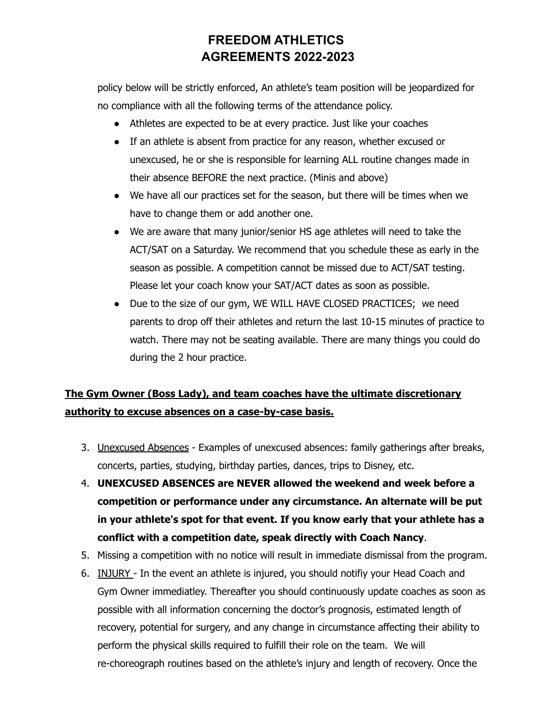policy below will be strictly enforced, An athlete's team position will be jeopardized for no compliance with all the following terms of the attendance policy.

- Athletes are expected to be at every practice. Just like your coaches
- If an athlete is absent from practice for any reason, whether excused or unexcused, he or she is responsible for learning ALL routine changes made in their absence BEFORE the next practice. (Minis and above)
- We have all our practices set for the season, but there will be times when we have to change them or add another one.
- We are aware that many junior/senior HS age athletes will need to take the ACT/SAT on a Saturday. We recommend that you schedule these as early in the season as possible. A competition cannot be missed due to ACT/SAT testing. Please let your coach know your SAT/ACT dates as soon as possible.
- Due to the size of our gym, WE WILL HAVE CLOSED PRACTICES; we need parents to drop off their athletes and return the last 10-15 minutes of practice to watch. There may not be seating available. There are many things you could do during the 2 hour practice.

## **The Gym Owner (Boss Lady), and team coaches have the ultimate discretionary authority to excuse absences on a case-by-case basis.**

- 3. Unexcused Absences Examples of unexcused absences: family gatherings after breaks, concerts, parties, studying, birthday parties, dances, trips to Disney, etc.
- 4. **UNEXCUSED ABSENCES are NEVER allowed the weekend and week before a competition or performance under any circumstance. An alternate will be put in your athlete's spot for that event. If you know early that your athlete has a conflict with a competition date, speak directly with Coach Nancy**.
- 5. Missing a competition with no notice will result in immediate dismissal from the program.
- 6. INJURY In the event an athlete is injured, you should notifiy your Head Coach and Gym Owner immediatley. Thereafter you should continuously update coaches as soon as possible with all information concerning the doctor's prognosis, estimated length of recovery, potential for surgery, and any change in circumstance affecting their ability to perform the physical skills required to fulfill their role on the team. We will re-choreograph routines based on the athlete's injury and length of recovery. Once the